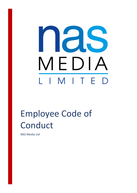

# Employee Code of Conduct

NAS Media Ltd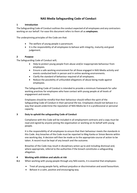# **NAS Media Safegaurding Code of Conduct**

### **1 Introduction**

The Safeguarding Code of Conduct outlines the conduct expected of all employees and any contractors working on our behalf. For ease this document refers to them all as **employees**.

The underpinning principles of the Code are that:

- The welfare of young people is paramount.
- It is the responsibility of all employees to behave with integrity, maturity and good judgement.

#### **2 Purpose**

The Safeguarding Code of Conduct will;

- Help to protect young people from abuse and/or inappropriate behaviour from employees.
- Ensure a safe working environment for all those engaged in NAS Media activity and events conducted both in person and in online working environments.
- Clarify the standard of behaviour required of all employees.
- Reduce the possibility of unfounded allegations of abuse being made against employees.

The Safeguarding Code of Conduct is intended to provide a minimum framework for safer working practices for employees who have contact with young people at all levels of engagement and events.

Employees should be mindful that their behaviour should reflect the spirit of the Safeguarding Code of Conduct in their personal life too. Employees should not behave in a way that would undermine the reputation of NAS Media be it in a professional or personal capacity.

### **3 Duty to uphold the safeguarding Code of Conduct**

Compliance with this Code will be included in all employment contracts and a copy must be read and signed by anyone joining the organisation or working on its behalf with young people.

It is the responsibility of all employees to ensure that their behaviour meets the standards in this Code. Any breaches of the Code must be reported to Meg Kanka or Simon Bennie within one working day. A decision will then be made as to the appropriate course of action to be taken. A record must be kept of any breach and the outcome.

Breaches of the Code may result in disciplinary action up to and including dismissal and, where appropriate, referral to the authorities if the breach constitutes a safeguarding allegation.

### **4 Working with children and adults at risk**

**4.1** When working with young people through any NAS events, it is essential that employees:

- Treat all young people fairly, without prejudice or discrimination and avoid favouritism.
- Behave in a calm, positive and encouraging way.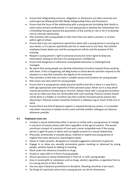- Ensure that safeguarding concerns, allegations or disclosures are taken seriously and acted upon by following the NAS Media Safeguarding Policy and Procedures.
- Ensure that the focus of the relationship with a young person (including their family in some cases) remains professional. It is not appropriate to develop the relationship into a friendship that goes beyond the parameters of the activity or role or for it to develop into an intimate relationship.
- Plan activities with young people so that more than one adult is present, or at least within sight of others.
- Ensure that if you are required to spend time alone with a young person in carrying out your duties, or if a person specifically asks for or needs one to one time, that another employee knows where you and the young person will be and the purpose of this meeting.
- Respect a young person's right to personal privacy but never agree to keep any information relating to the harm of a young person confidential.
- Ensure that dangerous or otherwise unacceptable behaviour is challenged and managed.
- Be aware that young people can develop infatuations (crushes) towards those working with them. If this is happening, tell Meg Kanka or Simon Bennie and then respond to the situation in a way that maintains the dignity of all concerned.
- Plan activities so that they are held in suitable venues and locations for young people.
- Risk assess any new events for young people.
- Ensure that if a young person needs physical comfort that this is done in a way that is both age appropriate and respectful of their personal space. Never act in a way which may be perceived as threatening or intrusive. Always check with a young person before you act to make sure they are comfortable with such touching. Physical contact should not be done in a hidden or secretive way that could be misconstrued by anyone else observing it. Physical contact should be limited to a sideways hug or touch of the arm or hand.
- Ensure that if any kind of physical support is required during any events, it is provided only when necessary in relation to the event and that another colleague can observe whenever possible.

### **4.2 Employees must not:**

- Conduct a sexual relationship either in person or online with a young person or indulge in any form of sexual contact with them regardless of the age of consent. This would constitute a breach of a position of trust and is never acceptable even if the young person is aged 16 years or above and can legally consent to a sexual relationship.
- Physically, emotionally or sexually abuse, maltreat or exploit any young person or neglect their basic physical or psychological needs.
- Swear or make sarcastic, derogatory or sexually suggestive comments or gestures.
- Engage in or allow any sexually provocative games involving or observed by young people, whether based on talking or touching.
- Work under the influence of alcohol or drugs.
- Smoke or vape with or in front of young people.
- Discuss personal or sexual relationships in front of, or with, young people.
- Give or receive gifts or substances such as drugs, alcohol, cigarettes, e-cigarettes from or to a young person or their family.
- Use any type of physical punishment to discipline. Shouting should be a last resort.
- Do things of a personal nature that a young person can do for themselves.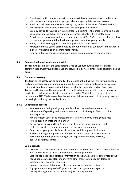- Travel alone with a young person in a car unless it has been risk assessed and is in line with the lone working and transport policies and appropriate insurance cover.
- Steal, or condone someone else's stealing, regardless of the value of the stolen item.
- Photograph or film anyone without first obtaining written consent.
- Use any device to 'upskirt' a young person. Up skirting is the practice of taking a nonconsensual photograph or film under a person's skirt or kilt. It is illegal to do so.
- Broadcast or show any audio or visual material (CDs, DVDs, videos, photos, films, computer or games etc.) that has inappropriate content for young people.
- Invite, or allow a young person met through work into your home.
- Arrange to meet a young person outside of your work role or event where the purpose is one of friendship or an intimate relationship.
- Take advantage of the vulnerability of a young person to achieve financial gain.

### **4.3 Communication with children and adults**

The following sections of the Safeguarding Code of Conduct outline expectations for communicating with young people via phones, mobile devices, email, texts, social media and apps.

### **4.3.1 Online and e-safety**

The term online safety can be defined as the process of limiting the risks to young people and our employees when communicating via the internet, digital and mobile devices and using social media e.g. blogs, online tuition, social networking sites such as Facebook, Twitter and Instagram. The online world is a rapidly changing one with new technologies, applications and social media sites emerging every day. Whilst this is a very positive development NAS Media recognises that online activity can present risks to young people – increasingly so during the pandemic too.

### **4.3.2 Conduct and content**

- When communicating with young people online observe the same rules of behaviour as if speaking with them in person that is by being professional polite and respectful.
- Always present yourself as professionally as you would if you were giving a faceto-face lesson, in dress and in manner.
- Do not swear or say anything (using the written word, images or icons) that could be regarded as sexual innuendo, bullying or discrimination.
- Only contact young people for work purposes and through work channels.
- Follow the Safeguarding Procedures if you are made aware of abuse online, or observe other employees uploading or posting any defamatory, obscene, abusive or harmful content.

### **You must not:**

- Use text speak abbreviations or symbols/emoticons (even if you ordinarily use these in your personal life) as these can be open to misinterpretation.
- Disclose non-public and personal information about NAS Media, its employees or the young people who register for our events other than young peoples' details to customers post event for follow up.
- Upload or post any defamatory, obscene, abusive or harmful content.
- Engage in the exchange of self-generated sexual images or messages (i.e. sexting, sharing nudes or semi nudes etc) with young people.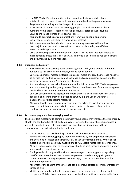- Use NAS Media IT equipment (including computers, laptops, mobile phones, notebooks, etc.) to view, download, create or share (with colleagues or others) illegal content including abusive images of children.
- Share personal contact details with young people. This includes mobile phone numbers, home address, social networking accounts, personal website/blog URLs, online image storage sites, passwords etc.
- Respond to approaches or communications from young people on personal social media, rather reply from a work channel instead.
- Ask to become an online friend or contact of a young person or add or allow them to join your personal contacts/friends list on social media, even if they make the initial approach.
- Use a personal digital camera or video for work this includes integral cameras on mobile phones unless this is part of NAS Media official business and has been agreed and documented by a line manager.

## **4.3.3 Openness and scrutiny**

- Ensure there is transparency about any engagement with young people so that it is auditable as this protects both employees and young people
- Do not use personal messaging facilities on social media or apps. If a message needs to be private then do this by work email exchange and copy in another person into the message such as a parent/carer and or colleague.
- It should always be clear who the communication is from when NAS Media employees are communicating with a young person. There should be no use of anonymous apps – that is where the sender can remain anonymous.
- Only use social media and applications where there is a permanent record of what's been said and sent thereby being open to scrutiny e.g. the use of Snapchat is inappropriate or disappearing messages.
- Always follow the safeguarding procedures for the action to take if a young person makes an initial approach for private contact, makes a disclosure of abuse to an employee or sends an inappropriate image or content.

### **4.3.4 Text messaging and other messaging services**

The use of text messaging to communicate with young people may increase the vulnerability of both the child or adult at risk and employees. However, there may be circumstances in which it is justified, subject to appropriate safeguarding considerations. In these circumstances, the following guidelines will apply:

- The decision to use social media platforms such as Facebook or Instagram to communicate with young people, should not be made by any employees in isolation and should be discussed and agreed with Meg Kanka or Simon Bennie. Where social media platforms are used they must belong to NAS Media rather than personal ones.
- All bulk text messages sent to young people should be sent through approved channels and recorded for audit purposes.
- Employees should only send individual text messages to a young person regarding a specific question or immediate request; employees should not engage in general conversation with young people via text message, rather texts should be used for information purposes.
- Ask whether the content of the message could be misunderstood or misinterpreted by someone else.
- Mobile phone numbers should be kept secure via passcode locks on phones and computers. Mobile phone numbers should not be shared with anyone else aside from